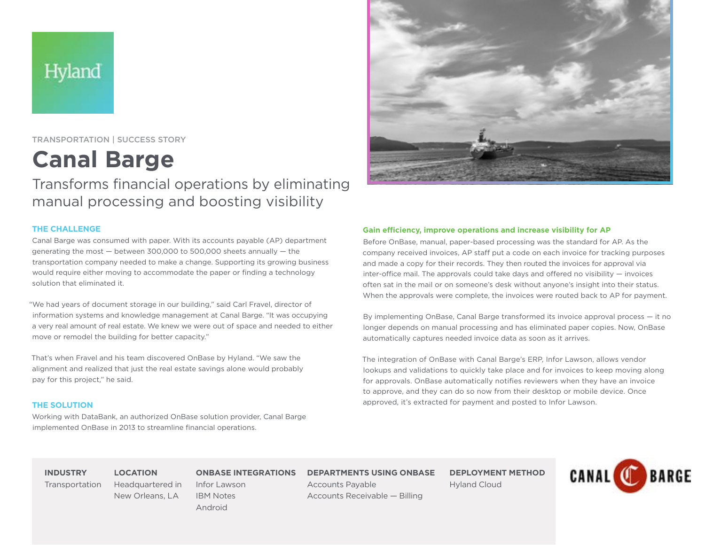# Hyland

TRANSPORTATION | SUCCESS STORY

**Canal Barge**

Transforms financial operations by eliminating manual processing and boosting visibility

## **THE CHALLENGE**

Canal Barge was consumed with paper. With its accounts payable (AP) department generating the most — between 300,000 to 500,000 sheets annually — the transportation company needed to make a change. Supporting its growing business would require either moving to accommodate the paper or finding a technology solution that eliminated it.

"We had years of document storage in our building," said Carl Fravel, director of information systems and knowledge management at Canal Barge. "It was occupying a very real amount of real estate. We knew we were out of space and needed to either move or remodel the building for better capacity."

That's when Fravel and his team discovered OnBase by Hyland. "We saw the alignment and realized that just the real estate savings alone would probably pay for this project," he said.

## **THE SOLUTION**

Working with DataBank, an authorized OnBase solution provider, Canal Barge implemented OnBase in 2013 to streamline financial operations.

> Headquartered in New Orleans, LA



Before OnBase, manual, paper-based processing was the standard for AP. As the company received invoices, AP staff put a code on each invoice for tracking purposes and made a copy for their records. They then routed the invoices for approval via inter-office mail. The approvals could take days and offered no visibility — invoices often sat in the mail or on someone's desk without anyone's insight into their status. When the approvals were complete, the invoices were routed back to AP for payment.

By implementing OnBase, Canal Barge transformed its invoice approval process — it no longer depends on manual processing and has eliminated paper copies. Now, OnBase automatically captures needed invoice data as soon as it arrives.

The integration of OnBase with Canal Barge's ERP, Infor Lawson, allows vendor lookups and validations to quickly take place and for invoices to keep moving along for approvals. OnBase automatically notifies reviewers when they have an invoice to approve, and they can do so now from their desktop or mobile device. Once approved, it's extracted for payment and posted to Infor Lawson.

**INDUSTRY** Transportation **LOCATION**

**ONBASE INTEGRATIONS**

Infor Lawson IBM Notes Android

**DEPARTMENTS USING ONBASE**

Accounts Payable Accounts Receivable — Billing **DEPLOYMENT METHOD** Hyland Cloud